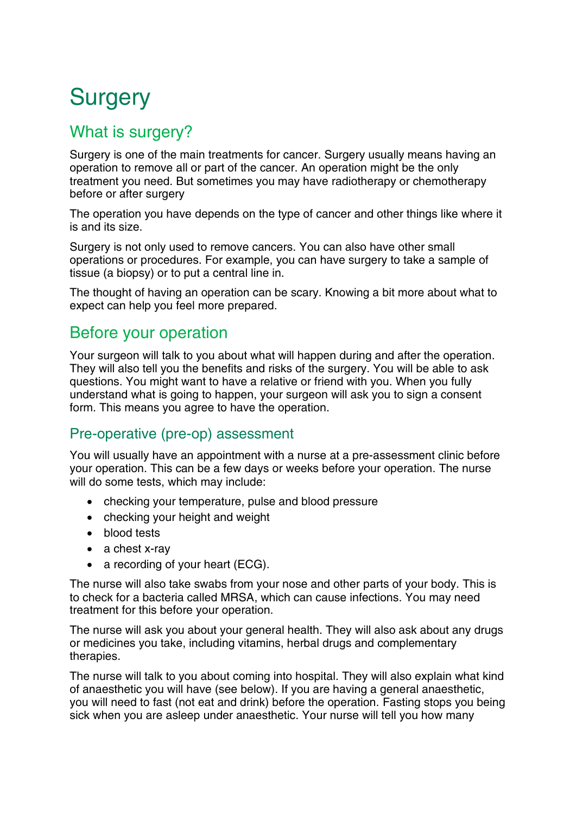# **Surgery**

# What is surgery?

Surgery is one of the main treatments for cancer. Surgery usually means having an operation to remove all or part of the cancer. An operation might be the only treatment you need. But sometimes you may have radiotherapy or chemotherapy before or after surgery

The operation you have depends on the type of cancer and other things like where it is and its size.

Surgery is not only used to remove cancers. You can also have other small operations or procedures. For example, you can have surgery to take a sample of tissue (a biopsy) or to put a central line in.

The thought of having an operation can be scary. Knowing a bit more about what to expect can help you feel more prepared.

# Before your operation

Your surgeon will talk to you about what will happen during and after the operation. They will also tell you the benefits and risks of the surgery. You will be able to ask questions. You might want to have a relative or friend with you. When you fully understand what is going to happen, your surgeon will ask you to sign a consent form. This means you agree to have the operation.

#### Pre-operative (pre-op) assessment

You will usually have an appointment with a nurse at a pre-assessment clinic before your operation. This can be a few days or weeks before your operation. The nurse will do some tests, which may include:

- checking your temperature, pulse and blood pressure
- checking your height and weight
- blood tests
- a chest x-ray
- a recording of your heart (ECG).

The nurse will also take swabs from your nose and other parts of your body. This is to check for a bacteria called MRSA, which can cause infections. You may need treatment for this before your operation.

The nurse will ask you about your general health. They will also ask about any drugs or medicines you take, including vitamins, herbal drugs and complementary therapies.

The nurse will talk to you about coming into hospital. They will also explain what kind of anaesthetic you will have (see below). If you are having a general anaesthetic, you will need to fast (not eat and drink) before the operation. Fasting stops you being sick when you are asleep under anaesthetic. Your nurse will tell you how many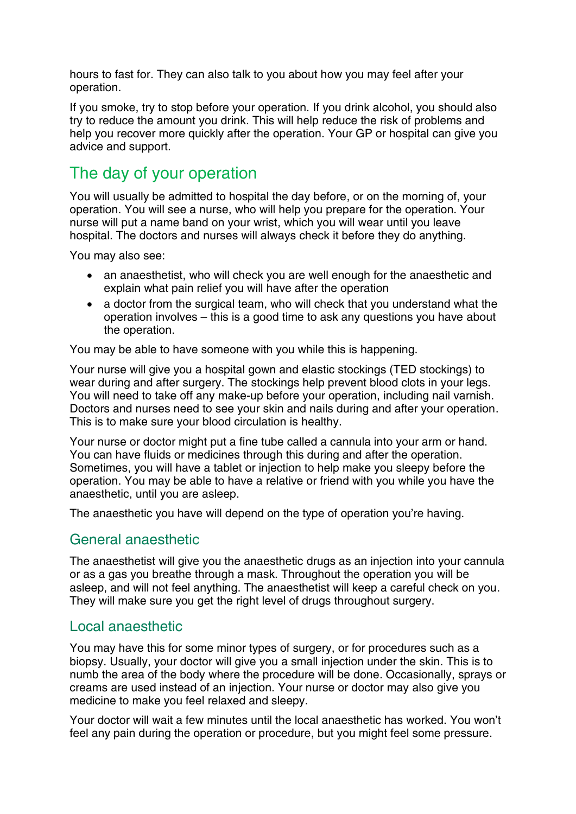hours to fast for. They can also talk to you about how you may feel after your operation.

If you smoke, try to stop before your operation. If you drink alcohol, you should also try to reduce the amount you drink. This will help reduce the risk of problems and help you recover more quickly after the operation. Your GP or hospital can give you advice and support.

# The day of your operation

You will usually be admitted to hospital the day before, or on the morning of, your operation. You will see a nurse, who will help you prepare for the operation. Your nurse will put a name band on your wrist, which you will wear until you leave hospital. The doctors and nurses will always check it before they do anything.

You may also see:

- an anaesthetist, who will check you are well enough for the anaesthetic and explain what pain relief you will have after the operation
- a doctor from the surgical team, who will check that you understand what the operation involves – this is a good time to ask any questions you have about the operation.

You may be able to have someone with you while this is happening.

Your nurse will give you a hospital gown and elastic stockings (TED stockings) to wear during and after surgery. The stockings help prevent blood clots in your legs. You will need to take off any make-up before your operation, including nail varnish. Doctors and nurses need to see your skin and nails during and after your operation. This is to make sure your blood circulation is healthy.

Your nurse or doctor might put a fine tube called a cannula into your arm or hand. You can have fluids or medicines through this during and after the operation. Sometimes, you will have a tablet or injection to help make you sleepy before the operation. You may be able to have a relative or friend with you while you have the anaesthetic, until you are asleep.

The anaesthetic you have will depend on the type of operation you're having.

#### General anaesthetic

The anaesthetist will give you the anaesthetic drugs as an injection into your cannula or as a gas you breathe through a mask. Throughout the operation you will be asleep, and will not feel anything. The anaesthetist will keep a careful check on you. They will make sure you get the right level of drugs throughout surgery.

#### Local anaesthetic

You may have this for some minor types of surgery, or for procedures such as a biopsy. Usually, your doctor will give you a small injection under the skin. This is to numb the area of the body where the procedure will be done. Occasionally, sprays or creams are used instead of an injection. Your nurse or doctor may also give you medicine to make you feel relaxed and sleepy.

Your doctor will wait a few minutes until the local anaesthetic has worked. You won't feel any pain during the operation or procedure, but you might feel some pressure.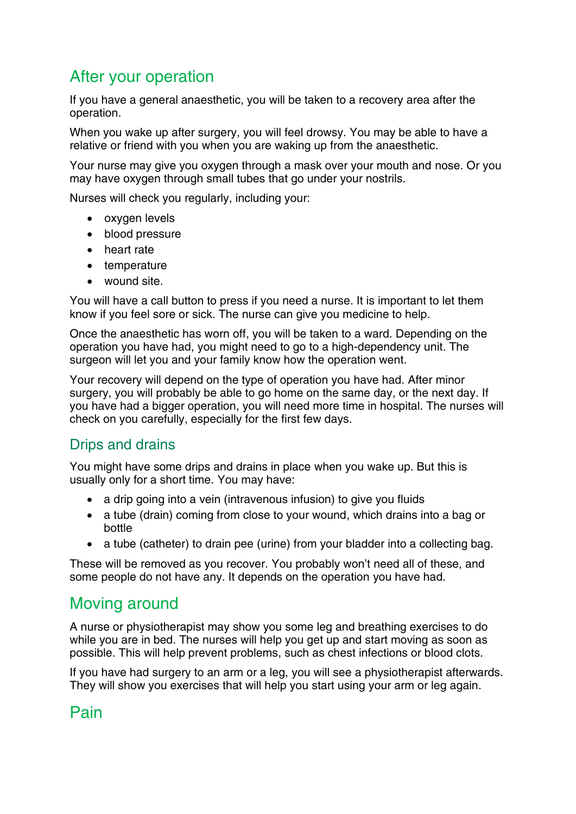# After your operation

If you have a general anaesthetic, you will be taken to a recovery area after the operation.

When you wake up after surgery, you will feel drowsy. You may be able to have a relative or friend with you when you are waking up from the anaesthetic.

Your nurse may give you oxygen through a mask over your mouth and nose. Or you may have oxygen through small tubes that go under your nostrils.

Nurses will check you regularly, including your:

- oxygen levels
- blood pressure
- heart rate
- temperature
- wound site.

You will have a call button to press if you need a nurse. It is important to let them know if you feel sore or sick. The nurse can give you medicine to help.

Once the anaesthetic has worn off, you will be taken to a ward. Depending on the operation you have had, you might need to go to a high-dependency unit. The surgeon will let you and your family know how the operation went.

Your recovery will depend on the type of operation you have had. After minor surgery, you will probably be able to go home on the same day, or the next day. If you have had a bigger operation, you will need more time in hospital. The nurses will check on you carefully, especially for the first few days.

## Drips and drains

You might have some drips and drains in place when you wake up. But this is usually only for a short time. You may have:

- a drip going into a vein (intravenous infusion) to give you fluids
- a tube (drain) coming from close to your wound, which drains into a bag or bottle
- a tube (catheter) to drain pee (urine) from your bladder into a collecting bag.

These will be removed as you recover. You probably won't need all of these, and some people do not have any. It depends on the operation you have had.

# Moving around

A nurse or physiotherapist may show you some leg and breathing exercises to do while you are in bed. The nurses will help you get up and start moving as soon as possible. This will help prevent problems, such as chest infections or blood clots.

If you have had surgery to an arm or a leg, you will see a physiotherapist afterwards. They will show you exercises that will help you start using your arm or leg again.

# Pain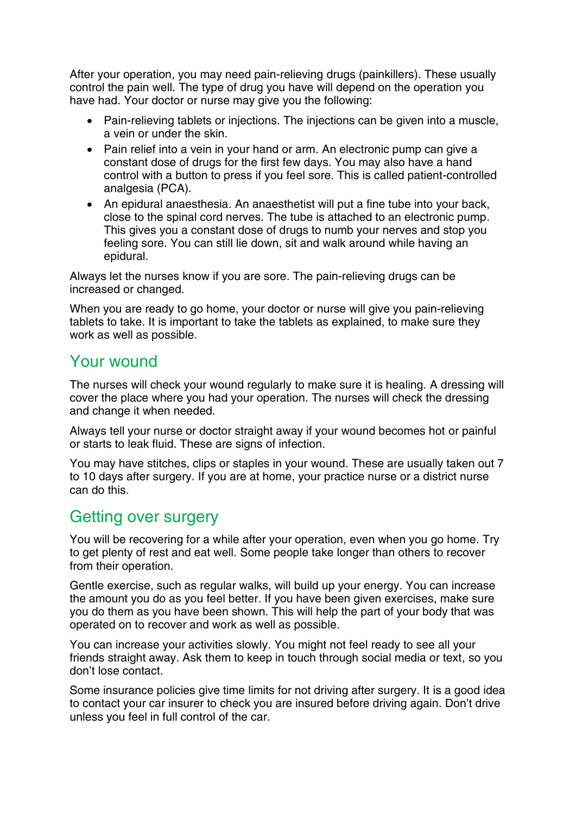After your operation, you may need pain-relieving drugs (painkillers). These usually control the pain well. The type of drug you have will depend on the operation you have had. Your doctor or nurse may give you the following:

- Pain-relieving tablets or injections. The injections can be given into a muscle, a vein or under the skin.
- Pain relief into a vein in your hand or arm. An electronic pump can give a constant dose of drugs for the first few days. You may also have a hand control with a button to press if you feel sore. This is called patient-controlled analgesia (PCA).
- An epidural anaesthesia. An anaesthetist will put a fine tube into your back, close to the spinal cord nerves. The tube is attached to an electronic pump. This gives you a constant dose of drugs to numb your nerves and stop you feeling sore. You can still lie down, sit and walk around while having an epidural.

Always let the nurses know if you are sore. The pain-relieving drugs can be increased or changed.

When you are ready to go home, your doctor or nurse will give you pain-relieving tablets to take. It is important to take the tablets as explained, to make sure they work as well as possible.

# Your wound

The nurses will check your wound regularly to make sure it is healing. A dressing will cover the place where you had your operation. The nurses will check the dressing and change it when needed.

Always tell your nurse or doctor straight away if your wound becomes hot or painful or starts to leak fluid. These are signs of infection.

You may have stitches, clips or staples in your wound. These are usually taken out 7 to 10 days after surgery. If you are at home, your practice nurse or a district nurse can do this.

## Getting over surgery

You will be recovering for a while after your operation, even when you go home. Try to get plenty of rest and eat well. Some people take longer than others to recover from their operation.

Gentle exercise, such as regular walks, will build up your energy. You can increase the amount you do as you feel better. If you have been given exercises, make sure you do them as you have been shown. This will help the part of your body that was operated on to recover and work as well as possible.

You can increase your activities slowly. You might not feel ready to see all your friends straight away. Ask them to keep in touch through social media or text, so you don't lose contact.

Some insurance policies give time limits for not driving after surgery. It is a good idea to contact your car insurer to check you are insured before driving again. Don't drive unless you feel in full control of the car.